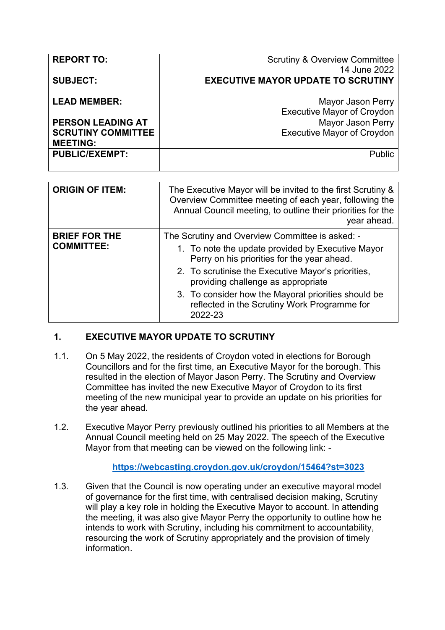| <b>REPORT TO:</b>         | <b>Scrutiny &amp; Overview Committee</b>  |
|---------------------------|-------------------------------------------|
|                           | 14 June 2022                              |
| <b>SUBJECT:</b>           | <b>EXECUTIVE MAYOR UPDATE TO SCRUTINY</b> |
|                           |                                           |
| <b>LEAD MEMBER:</b>       | Mayor Jason Perry                         |
|                           | <b>Executive Mayor of Croydon</b>         |
| <b>PERSON LEADING AT</b>  | <b>Mayor Jason Perry</b>                  |
| <b>SCRUTINY COMMITTEE</b> | <b>Executive Mayor of Croydon</b>         |
| <b>MEETING:</b>           |                                           |
| <b>PUBLIC/EXEMPT:</b>     | Public                                    |
|                           |                                           |

| <b>ORIGIN OF ITEM:</b>                    | The Executive Mayor will be invited to the first Scrutiny &<br>Overview Committee meeting of each year, following the<br>Annual Council meeting, to outline their priorities for the<br>year ahead.                                                                                                                                                               |
|-------------------------------------------|-------------------------------------------------------------------------------------------------------------------------------------------------------------------------------------------------------------------------------------------------------------------------------------------------------------------------------------------------------------------|
| <b>BRIEF FOR THE</b><br><b>COMMITTEE:</b> | The Scrutiny and Overview Committee is asked: -<br>1. To note the update provided by Executive Mayor<br>Perry on his priorities for the year ahead.<br>2. To scrutinise the Executive Mayor's priorities,<br>providing challenge as appropriate<br>3. To consider how the Mayoral priorities should be<br>reflected in the Scrutiny Work Programme for<br>2022-23 |

## **1. EXECUTIVE MAYOR UPDATE TO SCRUTINY**

- 1.1. On 5 May 2022, the residents of Croydon voted in elections for Borough Councillors and for the first time, an Executive Mayor for the borough. This resulted in the election of Mayor Jason Perry. The Scrutiny and Overview Committee has invited the new Executive Mayor of Croydon to its first meeting of the new municipal year to provide an update on his priorities for the year ahead.
- 1.2. Executive Mayor Perry previously outlined his priorities to all Members at the Annual Council meeting held on 25 May 2022. The speech of the Executive Mayor from that meeting can be viewed on the following link: -

## **<https://webcasting.croydon.gov.uk/croydon/15464?st=3023>**

1.3. Given that the Council is now operating under an executive mayoral model of governance for the first time, with centralised decision making, Scrutiny will play a key role in holding the Executive Mayor to account. In attending the meeting, it was also give Mayor Perry the opportunity to outline how he intends to work with Scrutiny, including his commitment to accountability, resourcing the work of Scrutiny appropriately and the provision of timely information.